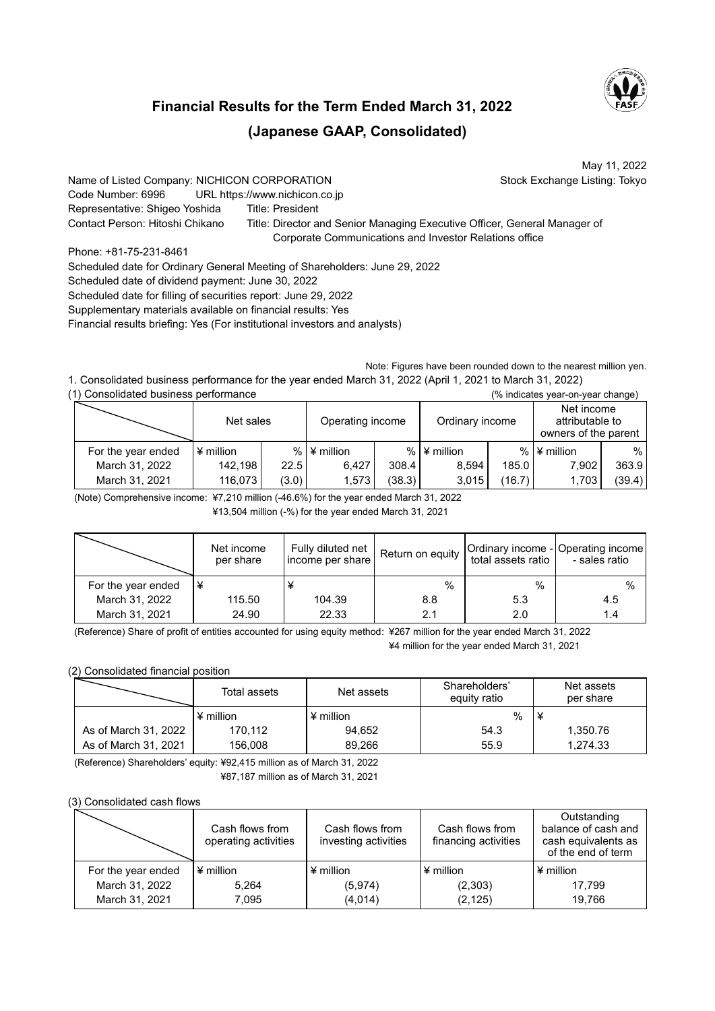

May 11, 2022

## **Financial Results for the Term Ended March 31, 2022 (Japanese GAAP, Consolidated)**

Name of Listed Company: NICHICON CORPORATION Stock Exchange Listing: Tokyo Code Number: 6996 URL https://www.nichicon.co.jp Representative: Shigeo Yoshida Title: President Contact Person: Hitoshi Chikano Title: Director and Senior Managing Executive Officer, General Manager of Corporate Communications and Investor Relations office

Phone: +81-75-231-8461 Scheduled date for Ordinary General Meeting of Shareholders: June 29, 2022 Scheduled date of dividend payment: June 30, 2022 Scheduled date for filling of securities report: June 29, 2022 Supplementary materials available on financial results: Yes Financial results briefing: Yes (For institutional investors and analysts)

Note: Figures have been rounded down to the nearest million yen. 1. Consolidated business performance for the year ended March 31, 2022 (April 1, 2021 to March 31, 2022)

| (1) Consolidated business performance<br>(% indicates year-on-year change) |             |       |                                                      |        |                    |        |                                                       |        |  |
|----------------------------------------------------------------------------|-------------|-------|------------------------------------------------------|--------|--------------------|--------|-------------------------------------------------------|--------|--|
|                                                                            | Net sales   |       | Operating income                                     |        | Ordinary income    |        | Net income<br>attributable to<br>owners of the parent |        |  |
| For the year ended                                                         | $*$ million |       | % $\blacktriangleright$ $\blacktriangleleft$ million |        | $%$ $\neq$ million |        | % $\blacktriangleright$ $\blacktriangleleft$ million  | %      |  |
| March 31, 2022                                                             | 142,198     | 22.5  | 6.427                                                | 308.4  | 8,594              | 185.0  | 7.902                                                 | 363.9  |  |
| March 31, 2021                                                             | 116,073     | (3.0) | 1,573                                                | (38.3) | 3,015              | (16.7) | 1,703                                                 | (39.4) |  |

(Note) Comprehensive income: ¥7,210 million (-46.6%) for the year ended March 31, 2022

¥13,504 million (-%) for the year ended March 31, 2021

|                    | Net income<br>per share | Fully diluted net<br>income per share | Return on equity | total assets ratio | Ordinary income - Operating income<br>- sales ratio |
|--------------------|-------------------------|---------------------------------------|------------------|--------------------|-----------------------------------------------------|
| For the year ended | ¥                       |                                       | $\%$             | %                  | $\%$                                                |
| March 31, 2022     | 115.50                  | 104.39                                | 8.8              | 5.3                | 4.5                                                 |
| March 31, 2021     | 24.90                   | 22.33                                 | 2.1              | 2.0                | 1.4                                                 |

(Reference) Share of profit of entities accounted for using equity method: ¥267 million for the year ended March 31, 2022 ¥4 million for the year ended March 31, 2021

## (2) Consolidated financial position

|                      | Total assets     | Net assets       | Shareholders'<br>equity ratio | Net assets<br>per share |  |
|----------------------|------------------|------------------|-------------------------------|-------------------------|--|
|                      | $\angle$ million | $\angle$ million | %                             |                         |  |
| As of March 31, 2022 | 170,112          | 94.652           | 54.3                          | 1,350.76                |  |
| As of March 31, 2021 | 156,008          | 89.266           | 55.9                          | 1.274.33                |  |

(Reference) Shareholders' equity: ¥92,415 million as of March 31, 2022 ¥87,187 million as of March 31, 2021

## (3) Consolidated cash flows

|                    | Cash flows from<br>operating activities | Cash flows from<br>investing activities | Cash flows from<br>financing activities | Outstanding<br>balance of cash and<br>cash equivalents as<br>of the end of term |  |
|--------------------|-----------------------------------------|-----------------------------------------|-----------------------------------------|---------------------------------------------------------------------------------|--|
| For the year ended | $\angle$ million                        | $4$ million                             | $\angle$ million                        | $\angle$ million                                                                |  |
| March 31, 2022     | 5.264                                   | (5,974)                                 | (2,303)                                 | 17.799                                                                          |  |
| March 31, 2021     | 7.095                                   | (4,014)                                 | (2, 125)                                | 19.766                                                                          |  |